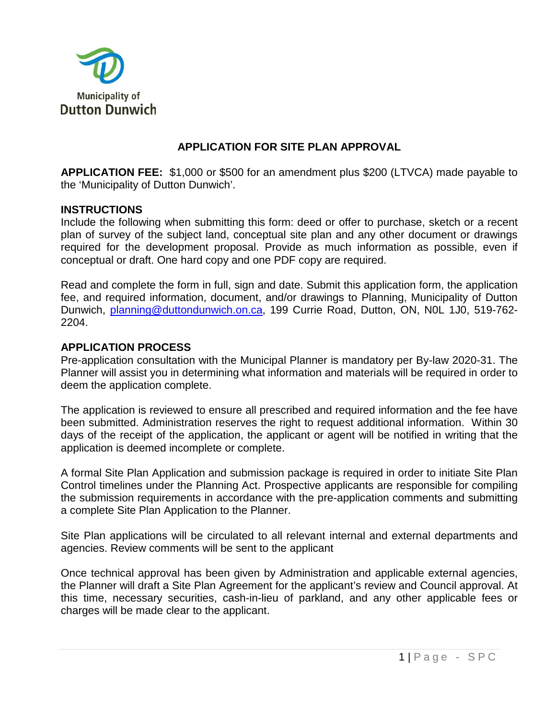

# **APPLICATION FOR SITE PLAN APPROVAL**

**APPLICATION FEE:** \$1,000 or \$500 for an amendment plus \$200 (LTVCA) made payable to the 'Municipality of Dutton Dunwich'.

### **INSTRUCTIONS**

Include the following when submitting this form: deed or offer to purchase, sketch or a recent plan of survey of the subject land, conceptual site plan and any other document or drawings required for the development proposal. Provide as much information as possible, even if conceptual or draft. One hard copy and one PDF copy are required.

Read and complete the form in full, sign and date. Submit this application form, the application fee, and required information, document, and/or drawings to Planning, Municipality of Dutton Dunwich, [planning@duttondunwich.on.ca,](mailto:planning@duttondunwich.on.ca) 199 Currie Road, Dutton, ON, N0L 1J0, 519-762-2204.

### **APPLICATION PROCESS**

Pre-application consultation with the Municipal Planner is mandatory per By-law 2020-31. The Planner will assist you in determining what information and materials will be required in order to deem the application complete.

The application is reviewed to ensure all prescribed and required information and the fee have been submitted. Administration reserves the right to request additional information. Within 30 days of the receipt of the application, the applicant or agent will be notified in writing that the application is deemed incomplete or complete.

A formal Site Plan Application and submission package is required in order to initiate Site Plan Control timelines under the Planning Act. Prospective applicants are responsible for compiling the submission requirements in accordance with the pre-application comments and submitting a complete Site Plan Application to the Planner.

Site Plan applications will be circulated to all relevant internal and external departments and agencies. Review comments will be sent to the applicant

Once technical approval has been given by Administration and applicable external agencies, the Planner will draft a Site Plan Agreement for the applicant's review and Council approval. At this time, necessary securities, cash-in-lieu of parkland, and any other applicable fees or charges will be made clear to the applicant.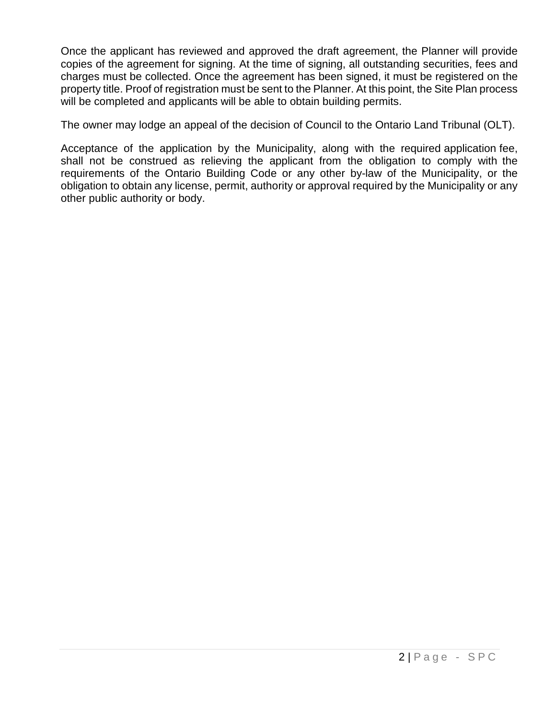Once the applicant has reviewed and approved the draft agreement, the Planner will provide copies of the agreement for signing. At the time of signing, all outstanding securities, fees and charges must be collected. Once the agreement has been signed, it must be registered on the property title. Proof of registration must be sent to the Planner. At this point, the Site Plan process will be completed and applicants will be able to obtain building permits.

The owner may lodge an appeal of the decision of Council to the Ontario Land Tribunal (OLT).

Acceptance of the application by the Municipality, along with the required application fee, shall not be construed as relieving the applicant from the obligation to comply with the requirements of the Ontario Building Code or any other by-law of the Municipality, or the obligation to obtain any license, permit, authority or approval required by the Municipality or any other public authority or body.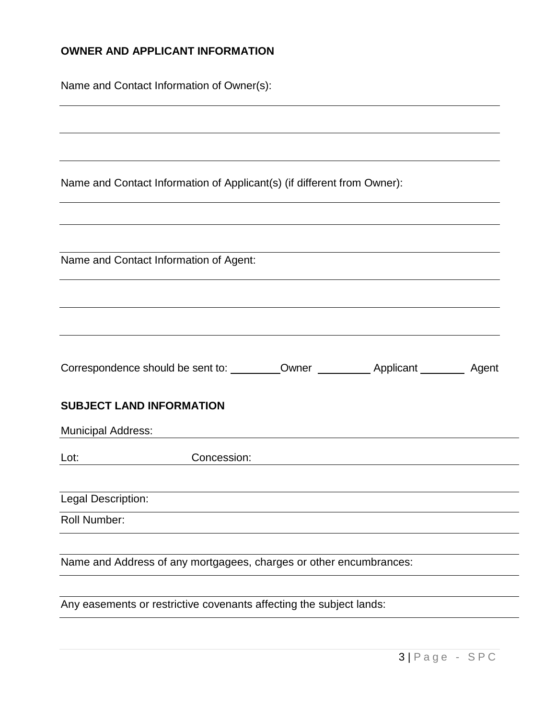# **OWNER AND APPLICANT INFORMATION**

| Name and Contact Information of Owner(s): |
|-------------------------------------------|
|                                           |

Name and Contact Information of Applicant(s) (if different from Owner):

|                                                                                                                                                                                                                                | Name and Contact Information of Agent:                             |  |  |
|--------------------------------------------------------------------------------------------------------------------------------------------------------------------------------------------------------------------------------|--------------------------------------------------------------------|--|--|
|                                                                                                                                                                                                                                |                                                                    |  |  |
|                                                                                                                                                                                                                                |                                                                    |  |  |
|                                                                                                                                                                                                                                |                                                                    |  |  |
|                                                                                                                                                                                                                                |                                                                    |  |  |
|                                                                                                                                                                                                                                |                                                                    |  |  |
|                                                                                                                                                                                                                                | <b>SUBJECT LAND INFORMATION</b>                                    |  |  |
| Municipal Address:                                                                                                                                                                                                             |                                                                    |  |  |
| Lot: the contract of the contract of the contract of the contract of the contract of the contract of the contract of the contract of the contract of the contract of the contract of the contract of the contract of the contr | Concession:                                                        |  |  |
|                                                                                                                                                                                                                                |                                                                    |  |  |
| Legal Description:                                                                                                                                                                                                             |                                                                    |  |  |
| Roll Number:                                                                                                                                                                                                                   |                                                                    |  |  |
|                                                                                                                                                                                                                                |                                                                    |  |  |
|                                                                                                                                                                                                                                | Name and Address of any mortgagees, charges or other encumbrances: |  |  |
|                                                                                                                                                                                                                                |                                                                    |  |  |

Any easements or restrictive covenants affecting the subject lands: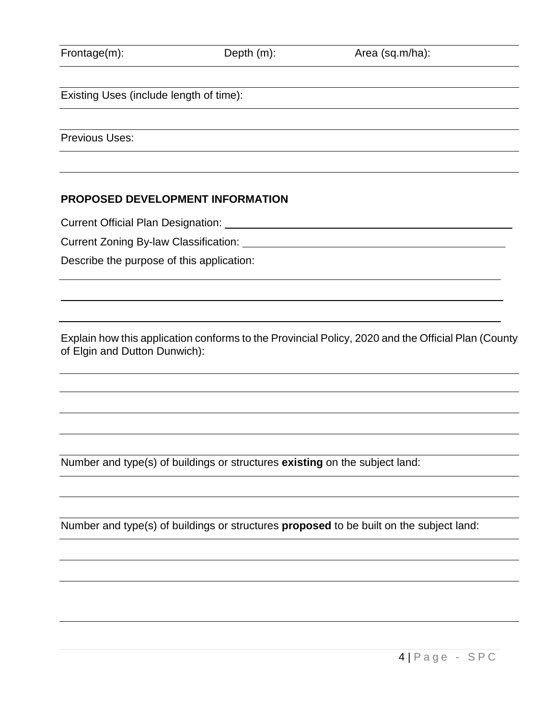| Frontage(m): |  |
|--------------|--|
|              |  |

ge(m): Depth (m): Area (sq.m/ha):

Existing Uses (include length of time):

Previous Uses:

## **PROPOSED DEVELOPMENT INFORMATION**

Current Official Plan Designation:

Current Zoning By-law Classification:

Describe the purpose of this application:

Explain how this application conforms to the Provincial Policy, 2020 and the Official Plan (County of Elgin and Dutton Dunwich):

Number and type(s) of buildings or structures **existing** on the subject land:

Number and type(s) of buildings or structures **proposed** to be built on the subject land:

4 | Page - SPC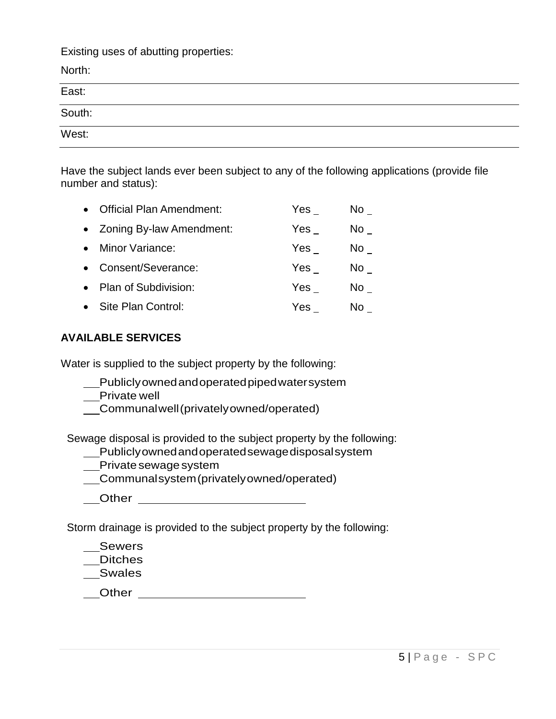Existing uses of abutting properties:

North: East: South: West:

Have the subject lands ever been subject to any of the following applications (provide file number and status):

| <b>Official Plan Amendment:</b> | Yes | No l |
|---------------------------------|-----|------|
| • Zoning By-law Amendment:      | Yes | No l |
| Minor Variance:                 | Yes | No l |
| Consent/Severance:              | Yes | No l |
| Plan of Subdivision:            | Yes | No l |
| Site Plan Control:              | Yes | N٥   |

## **AVAILABLE SERVICES**

Water is supplied to the subject property by the following:

- Publiclyownedandoperatedpipedwatersystem
- \_Private well
- Communalwell(privatelyowned/operated)

Sewage disposal is provided to the subject property by the following:

- Publiclyownedandoperatedsewagedisposalsystem
- Private sewage system
- Communalsystem(privatelyowned/operated)
- \_\_\_Other \_\_\_\_\_\_\_\_\_\_\_\_\_\_\_\_\_\_\_\_\_\_\_\_\_\_

Storm drainage is provided to the subject property by the following:

- Sewers
- Ditches

Swales

**Other COLLEGE COLLEGE COLLEGE COLLEGE COLLEGE COLLEGE COLLEGE COLLEGE COLLEGE COLLEGE COLLEGE COLLEGE COLLEGE COLLEGE COLLEGE COLLEGE COLLEGE COLLEGE COLLEGE COLLEGE COLLEGE COLLEGE COLLEGE COLLEGE COLLEGE COLLEGE COLLE**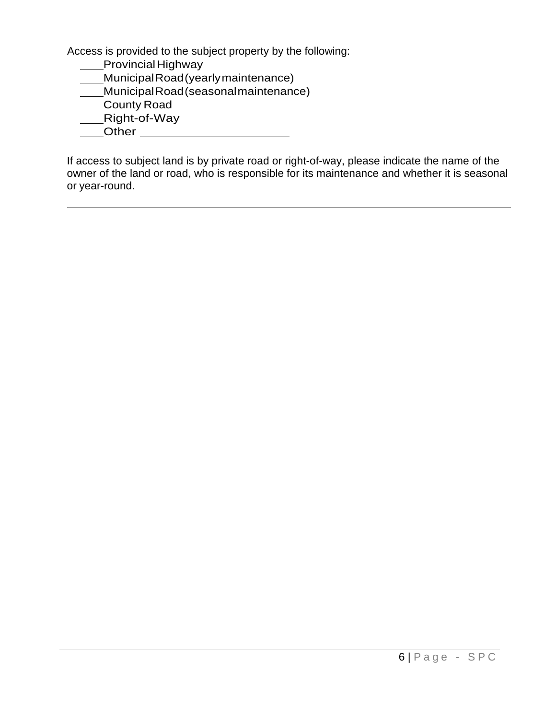Access is provided to the subject property by the following:

- Provincial Highway
- MunicipalRoad(yearlymaintenance)
- MunicipalRoad(seasonalmaintenance)
- County Road
- Right-of-Way
- Other

If access to subject land is by private road or right-of-way, please indicate the name of the owner of the land or road, who is responsible for its maintenance and whether it is seasonal or year-round.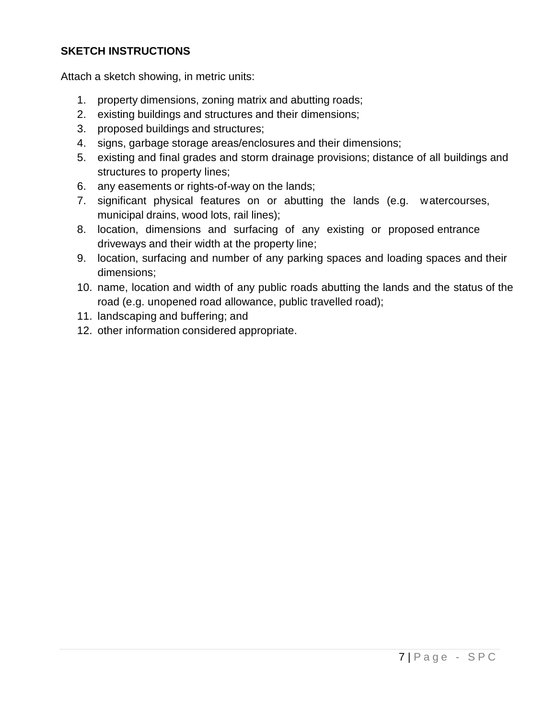# **SKETCH INSTRUCTIONS**

Attach a sketch showing, in metric units:

- 1. property dimensions, zoning matrix and abutting roads;
- 2. existing buildings and structures and their dimensions;
- 3. proposed buildings and structures;
- 4. signs, garbage storage areas/enclosures and their dimensions;
- 5. existing and final grades and storm drainage provisions; distance of all buildings and structures to property lines;
- 6. any easements or rights-of-way on the lands;
- 7. significant physical features on or abutting the lands (e.g. watercourses, municipal drains, wood lots, rail lines);
- 8. location, dimensions and surfacing of any existing or proposed entrance driveways and their width at the property line;
- 9. location, surfacing and number of any parking spaces and loading spaces and their dimensions;
- 10. name, location and width of any public roads abutting the lands and the status of the road (e.g. unopened road allowance, public travelled road);
- 11. landscaping and buffering; and
- 12. other information considered appropriate.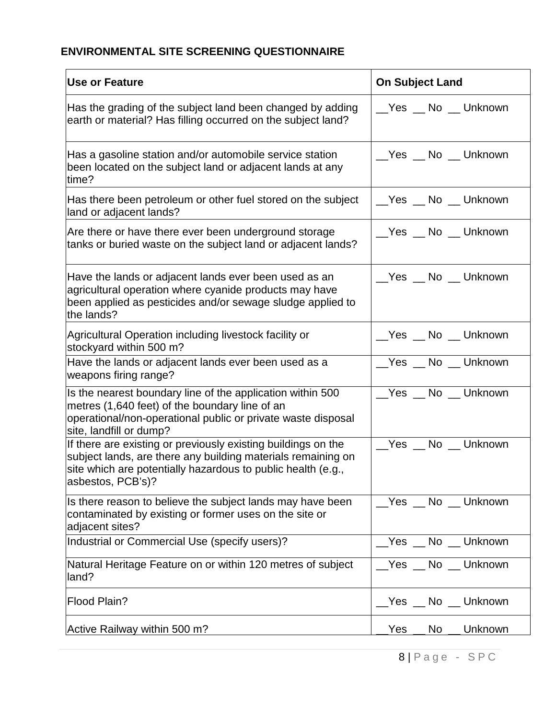# **ENVIRONMENTAL SITE SCREENING QUESTIONNAIRE**

| Use or Feature                                                                                                                                                                                                     | <b>On Subject Land</b>        |
|--------------------------------------------------------------------------------------------------------------------------------------------------------------------------------------------------------------------|-------------------------------|
| Has the grading of the subject land been changed by adding<br>earth or material? Has filling occurred on the subject land?                                                                                         | _Yes _ No _ Unknown           |
| Has a gasoline station and/or automobile service station<br>been located on the subject land or adjacent lands at any<br>time?                                                                                     | _Yes _ No _ Unknown           |
| Has there been petroleum or other fuel stored on the subject<br>land or adjacent lands?                                                                                                                            | __Yes __ No __ Unknown        |
| Are there or have there ever been underground storage<br>tanks or buried waste on the subject land or adjacent lands?                                                                                              | __Yes __ No __ Unknown        |
| Have the lands or adjacent lands ever been used as an<br>agricultural operation where cyanide products may have<br>been applied as pesticides and/or sewage sludge applied to<br>the lands?                        | Yes No Unknown                |
| Agricultural Operation including livestock facility or<br>stockyard within 500 m?                                                                                                                                  | __Yes __ No __ Unknown        |
| Have the lands or adjacent lands ever been used as a<br>weapons firing range?                                                                                                                                      | _Yes _ No _ Unknown           |
| Is the nearest boundary line of the application within 500<br>metres (1,640 feet) of the boundary line of an<br>operational/non-operational public or private waste disposal<br>site, landfill or dump?            | _Yes _ No _ Unknown           |
| If there are existing or previously existing buildings on the<br>subject lands, are there any building materials remaining on<br>site which are potentially hazardous to public health (e.g.,<br>asbestos, PCB's)? | _Yes _ No _ Unknown           |
| Is there reason to believe the subject lands may have been<br>contaminated by existing or former uses on the site or<br>adjacent sites?                                                                            | __Yes __ No __ Unknown        |
| Industrial or Commercial Use (specify users)?                                                                                                                                                                      | No __ Unknown<br>Yes          |
| Natural Heritage Feature on or within 120 metres of subject<br>land?                                                                                                                                               | Yes No Unknown                |
| <b>Flood Plain?</b>                                                                                                                                                                                                | No __ Unknown<br>$\_Yes \_\_$ |
| Active Railway within 500 m?                                                                                                                                                                                       | Unknown<br>Yes<br>No.         |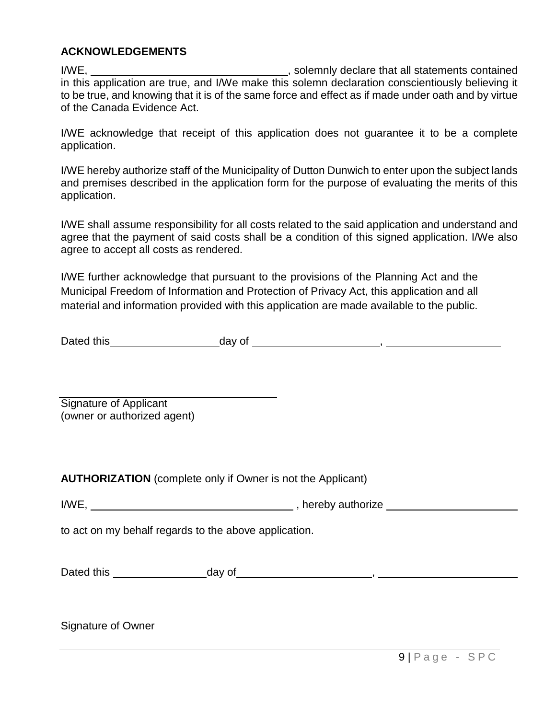### **ACKNOWLEDGEMENTS**

I/WE, , solemnly declare that all statements contained in this application are true, and I/We make this solemn declaration conscientiously believing it to be true, and knowing that it is of the same force and effect as if made under oath and by virtue of the Canada Evidence Act.

I/WE acknowledge that receipt of this application does not guarantee it to be a complete application.

I/WE hereby authorize staff of the Municipality of Dutton Dunwich to enter upon the subject lands and premises described in the application form for the purpose of evaluating the merits of this application.

I/WE shall assume responsibility for all costs related to the said application and understand and agree that the payment of said costs shall be a condition of this signed application. I/We also agree to accept all costs as rendered.

I/WE further acknowledge that pursuant to the provisions of the Planning Act and the Municipal Freedom of Information and Protection of Privacy Act, this application and all material and information provided with this application are made available to the public.

Dated this day of <u>example and the set of the set of the set of the set of the set of the set of the set of the set of the set of the set of the set of the set of the set of the set of the set of the set of the set of the </u>

Signature of Applicant (owner or authorized agent)

**AUTHORIZATION** (complete only if Owner is not the Applicant)

I/WE, **I** and the set of the set of the set of the set of the set of the set of the set of the set of the set of the set of the set of the set of the set of the set of the set of the set of the set of the set of the set of

to act on my behalf regards to the above application.

Dated this  $\begin{array}{c} \text{O(1)} \\ \text{O(1)} \end{array}$  ,  $\begin{array}{c} \text{O(1)} \\ \text{O(1)} \end{array}$ ,  $\begin{array}{c} \text{O(1)} \\ \text{O(1)} \end{array}$ 

Signature of Owner